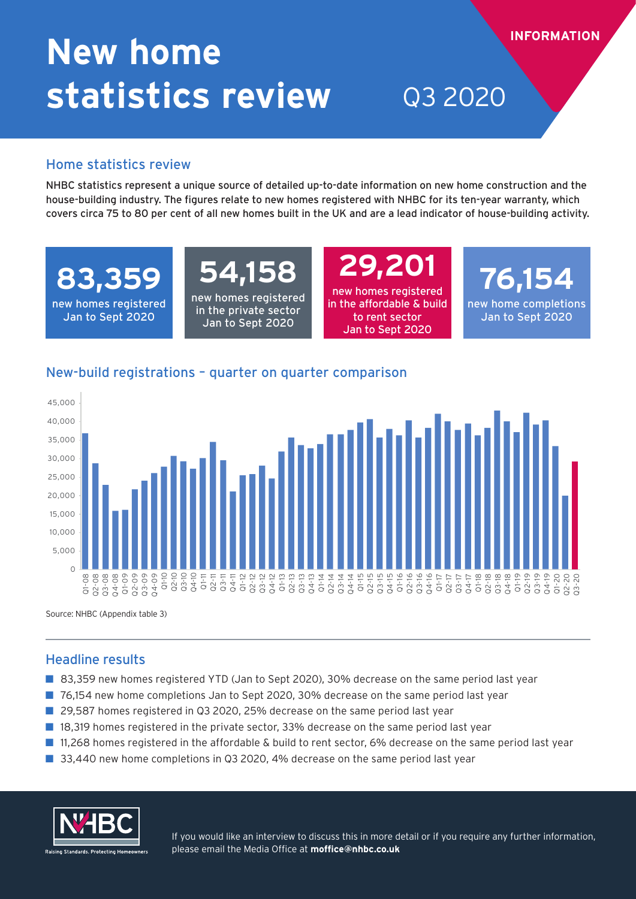# **New home statistics review** Q3 2020

### Home statistics review

NHBC statistics represent a unique source of detailed up-to-date information on new home construction and the house-building industry. The figures relate to new homes registered with NHBC for its ten-year warranty, which covers circa 75 to 80 per cent of all new homes built in the UK and are a lead indicator of house-building activity.

**83,359**

new homes registered Jan to Sept 2020

## **54,158**

new homes registered in the private sector Jan to Sept 2020

**29,201** new homes registered in the affordable & build to rent sector Jan to Sept 2020

**76,154** new home completions Jan to Sept 2020

**INFORMATION**

## New-build registrations – quarter on quarter comparison



Source: NHBC (Appendix table 3)

## Headline results

- 83,359 new homes registered YTD (Jan to Sept 2020), 30% decrease on the same period last year
- 76,154 new home completions Jan to Sept 2020, 30% decrease on the same period last year
- 29,587 homes registered in Q3 2020, 25% decrease on the same period last year
- 18,319 homes registered in the private sector, 33% decrease on the same period last year
- 11,268 homes registered in the affordable & build to rent sector, 6% decrease on the same period last year
- 33,440 new home completions in Q3 2020, 4% decrease on the same period last year



If you would like an interview to discuss this in more detail or if you require any further information, please email the Media Office at **moffice@nhbc.co.uk**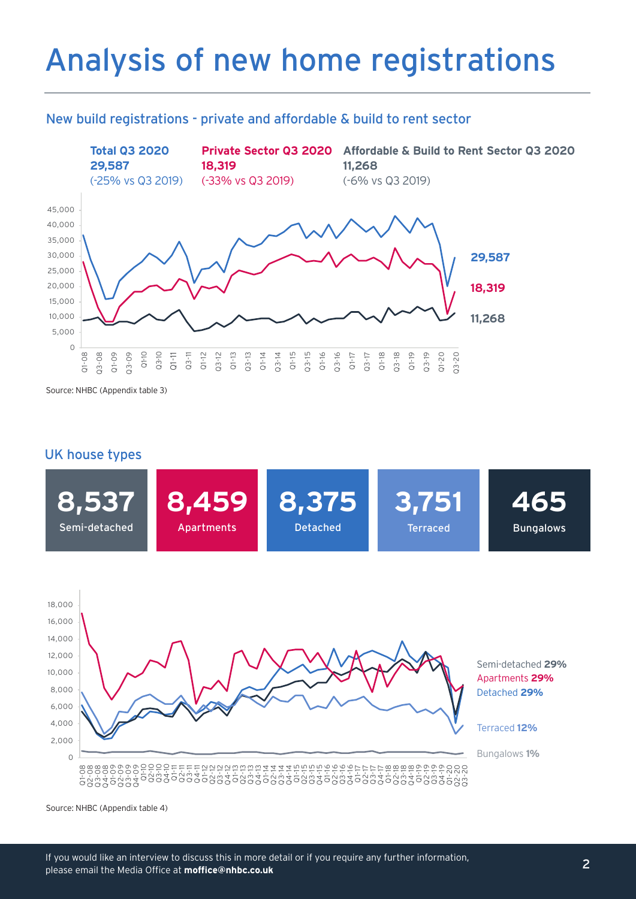## Analysis of new home registrations

### New build registrations - private and affordable & build to rent sector



Source: NHBC (Appendix table 3)

### UK house types





Source: NHBC (Appendix table 4)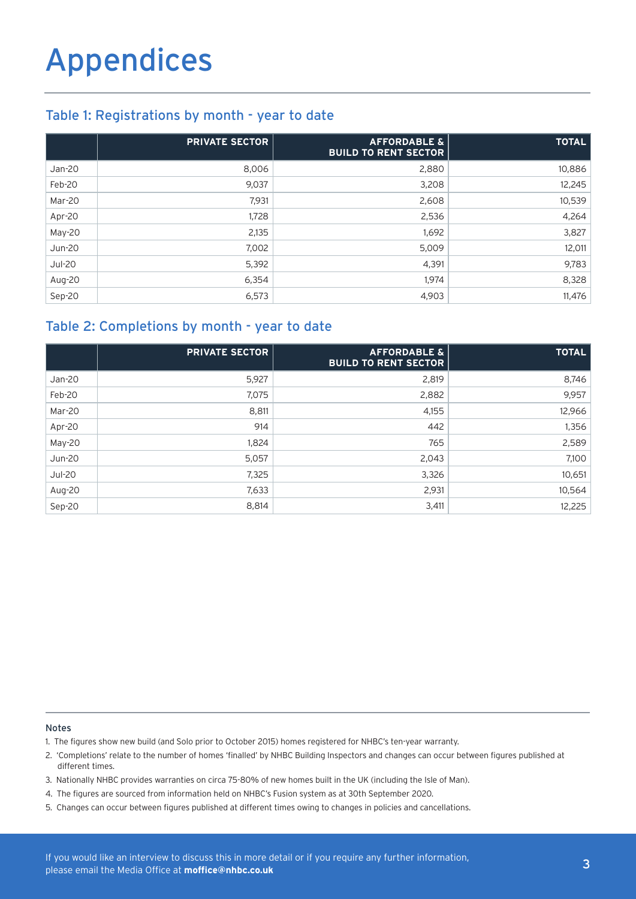## Table 1: Registrations by month - year to date

|               | <b>PRIVATE SECTOR</b> | <b>AFFORDABLE &amp;</b><br><b>BUILD TO RENT SECTOR</b> | <b>TOTAL</b> |
|---------------|-----------------------|--------------------------------------------------------|--------------|
| Jan-20        | 8,006                 | 2,880                                                  | 10,886       |
| Feb-20        | 9,037                 | 3,208                                                  | 12,245       |
| Mar-20        | 7,931                 | 2,608                                                  | 10,539       |
| Apr-20        | 1,728                 | 2,536                                                  | 4,264        |
| May-20        | 2,135                 | 1,692                                                  | 3,827        |
| <b>Jun-20</b> | 7,002                 | 5,009                                                  | 12,011       |
| <b>Jul-20</b> | 5,392                 | 4,391                                                  | 9,783        |
| Aug-20        | 6,354                 | 1,974                                                  | 8,328        |
| Sep-20        | 6,573                 | 4,903                                                  | 11,476       |

## Table 2: Completions by month - year to date

|               | <b>PRIVATE SECTOR</b> | <b>AFFORDABLE &amp;</b><br><b>BUILD TO RENT SECTOR</b> | <b>TOTAL</b> |
|---------------|-----------------------|--------------------------------------------------------|--------------|
| Jan-20        | 5,927                 | 2,819                                                  | 8,746        |
| Feb-20        | 7,075                 | 2,882                                                  | 9,957        |
| Mar-20        | 8,811                 | 4,155                                                  | 12,966       |
| Apr-20        | 914                   | 442                                                    | 1,356        |
| May-20        | 1,824                 | 765                                                    | 2,589        |
| <b>Jun-20</b> | 5,057                 | 2,043                                                  | 7,100        |
| <b>Jul-20</b> | 7,325                 | 3,326                                                  | 10,651       |
| Aug-20        | 7,633                 | 2,931                                                  | 10,564       |
| Sep-20        | 8,814                 | 3,411                                                  | 12,225       |

#### Notes

1. The figures show new build (and Solo prior to October 2015) homes registered for NHBC's ten-year warranty.

2. 'Completions' relate to the number of homes 'finalled' by NHBC Building Inspectors and changes can occur between figures published at different times.

- 3. Nationally NHBC provides warranties on circa 75-80% of new homes built in the UK (including the Isle of Man).
- 4. The figures are sourced from information held on NHBC's Fusion system as at 30th September 2020.
- 5. Changes can occur between figures published at different times owing to changes in policies and cancellations.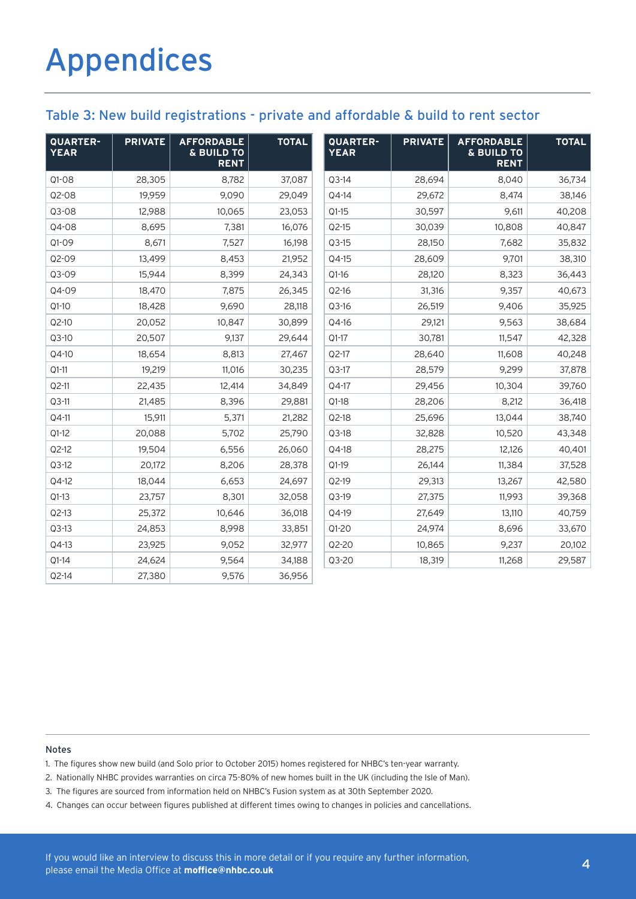## Table 3: New build registrations - private and affordable & build to rent sector

| QUARTER-<br><b>YEAR</b> | <b>PRIVATE</b> | <b>AFFORDABLE</b><br>& BUILD TO<br><b>RENT</b> | <b>TOTAL</b> | QUARTER-<br><b>YEAR</b> | <b>PRIVATE</b> | <b>AFFORDABLE</b><br>& BUILD TO<br><b>RENT</b> | <b>TOTAL</b> |
|-------------------------|----------------|------------------------------------------------|--------------|-------------------------|----------------|------------------------------------------------|--------------|
| $Q1-08$                 | 28,305         | 8,782                                          | 37,087       | $Q3-14$                 | 28,694         | 8,040                                          | 36,734       |
| Q2-08                   | 19,959         | 9,090                                          | 29,049       | Q4-14                   | 29,672         | 8,474                                          | 38,146       |
| Q3-08                   | 12,988         | 10,065                                         | 23,053       | $Q1-15$                 | 30,597         | 9,611                                          | 40,208       |
| Q4-08                   | 8,695          | 7,381                                          | 16,076       | $Q2-15$                 | 30,039         | 10,808                                         | 40,847       |
| $Q1 - O9$               | 8,671          | 7,527                                          | 16,198       | $Q3-15$                 | 28,150         | 7,682                                          | 35,832       |
| Q2-09                   | 13,499         | 8,453                                          | 21,952       | Q4-15                   | 28,609         | 9,701                                          | 38,310       |
| Q3-09                   | 15,944         | 8,399                                          | 24,343       | $Q1-16$                 | 28,120         | 8,323                                          | 36,443       |
| Q4-09                   | 18,470         | 7,875                                          | 26,345       | Q2-16                   | 31,316         | 9,357                                          | 40,673       |
| $Q1-10$                 | 18,428         | 9,690                                          | 28,118       | $Q3-16$                 | 26,519         | 9,406                                          | 35,925       |
| $Q2-10$                 | 20,052         | 10,847                                         | 30,899       | Q4-16                   | 29,121         | 9,563                                          | 38,684       |
| $Q3-10$                 | 20,507         | 9,137                                          | 29,644       | $Q1-17$                 | 30,781         | 11,547                                         | 42,328       |
| Q4-10                   | 18,654         | 8,813                                          | 27,467       | Q2-17                   | 28,640         | 11,608                                         | 40,248       |
| $Q1-11$                 | 19,219         | 11,016                                         | 30,235       | $Q3-17$                 | 28,579         | 9,299                                          | 37,878       |
| $Q2-11$                 | 22,435         | 12,414                                         | 34,849       | Q4-17                   | 29,456         | 10,304                                         | 39,760       |
| $Q3-11$                 | 21,485         | 8,396                                          | 29,881       | $Q1-18$                 | 28,206         | 8,212                                          | 36,418       |
| Q4-11                   | 15,911         | 5,371                                          | 21,282       | $Q2-18$                 | 25,696         | 13,044                                         | 38,740       |
| $Q1-12$                 | 20,088         | 5,702                                          | 25,790       | $Q3-18$                 | 32,828         | 10,520                                         | 43,348       |
| $Q2-12$                 | 19,504         | 6,556                                          | 26,060       | Q4-18                   | 28,275         | 12,126                                         | 40,401       |
| $Q3-12$                 | 20,172         | 8,206                                          | 28,378       | $Q1-19$                 | 26,144         | 11,384                                         | 37,528       |
| Q4-12                   | 18,044         | 6,653                                          | 24,697       | Q2-19                   | 29,313         | 13,267                                         | 42,580       |
| $Q1-13$                 | 23,757         | 8,301                                          | 32,058       | Q3-19                   | 27,375         | 11,993                                         | 39,368       |
| $Q2-13$                 | 25,372         | 10,646                                         | 36,018       | Q4-19                   | 27,649         | 13,110                                         | 40,759       |
| $Q3-13$                 | 24,853         | 8,998                                          | 33,851       | $Q1-20$                 | 24,974         | 8,696                                          | 33,670       |
| Q4-13                   | 23,925         | 9,052                                          | 32,977       | Q2-20                   | 10,865         | 9,237                                          | 20,102       |
| $Q1-14$                 | 24,624         | 9,564                                          | 34,188       | Q3-20                   | 18,319         | 11,268                                         | 29,587       |
| Q2-14                   | 27,380         | 9,576                                          | 36,956       |                         |                |                                                |              |

#### Notes

1. The figures show new build (and Solo prior to October 2015) homes registered for NHBC's ten-year warranty.

2. Nationally NHBC provides warranties on circa 75-80% of new homes built in the UK (including the Isle of Man).

3. The figures are sourced from information held on NHBC's Fusion system as at 30th September 2020.

4. Changes can occur between figures published at different times owing to changes in policies and cancellations.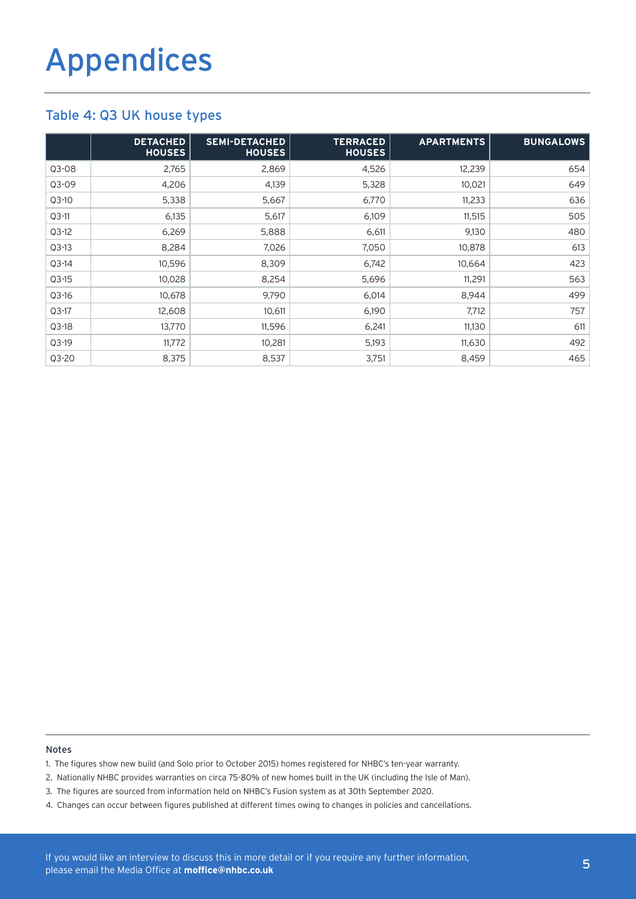### Table 4: Q3 UK house types

|         | <b>DETACHED</b><br><b>HOUSES</b> | <b>SEMI-DETACHED</b><br><b>HOUSES</b> | <b>TERRACED</b><br><b>HOUSES</b> | <b>APARTMENTS</b> | <b>BUNGALOWS</b> |
|---------|----------------------------------|---------------------------------------|----------------------------------|-------------------|------------------|
| $Q3-08$ | 2,765                            | 2,869                                 | 4,526                            | 12,239            | 654              |
| $Q3-09$ | 4,206                            | 4,139                                 | 5,328                            | 10,021            | 649              |
| $Q3-10$ | 5,338                            | 5,667                                 | 6,770                            | 11,233            | 636              |
| $Q3-11$ | 6,135                            | 5,617                                 | 6,109                            | 11,515            | 505              |
| $Q3-12$ | 6,269                            | 5,888                                 | 6,611                            | 9,130             | 480              |
| $Q3-13$ | 8,284                            | 7,026                                 | 7,050                            | 10,878            | 613              |
| $Q3-14$ | 10,596                           | 8,309                                 | 6,742                            | 10,664            | 423              |
| $Q3-15$ | 10,028                           | 8,254                                 | 5,696                            | 11,291            | 563              |
| $Q3-16$ | 10,678                           | 9.790                                 | 6,014                            | 8,944             | 499              |
| $Q3-17$ | 12,608                           | 10,611                                | 6,190                            | 7,712             | 757              |
| $Q3-18$ | 13,770                           | 11,596                                | 6,241                            | 11,130            | 611              |
| $Q3-19$ | 11,772                           | 10,281                                | 5,193                            | 11,630            | 492              |
| Q3-20   | 8,375                            | 8,537                                 | 3,751                            | 8,459             | 465              |

### Notes

- 1. The figures show new build (and Solo prior to October 2015) homes registered for NHBC's ten-year warranty.
- 2. Nationally NHBC provides warranties on circa 75-80% of new homes built in the UK (including the Isle of Man).
- 3. The figures are sourced from information held on NHBC's Fusion system as at 30th September 2020.
- 4. Changes can occur between figures published at different times owing to changes in policies and cancellations.